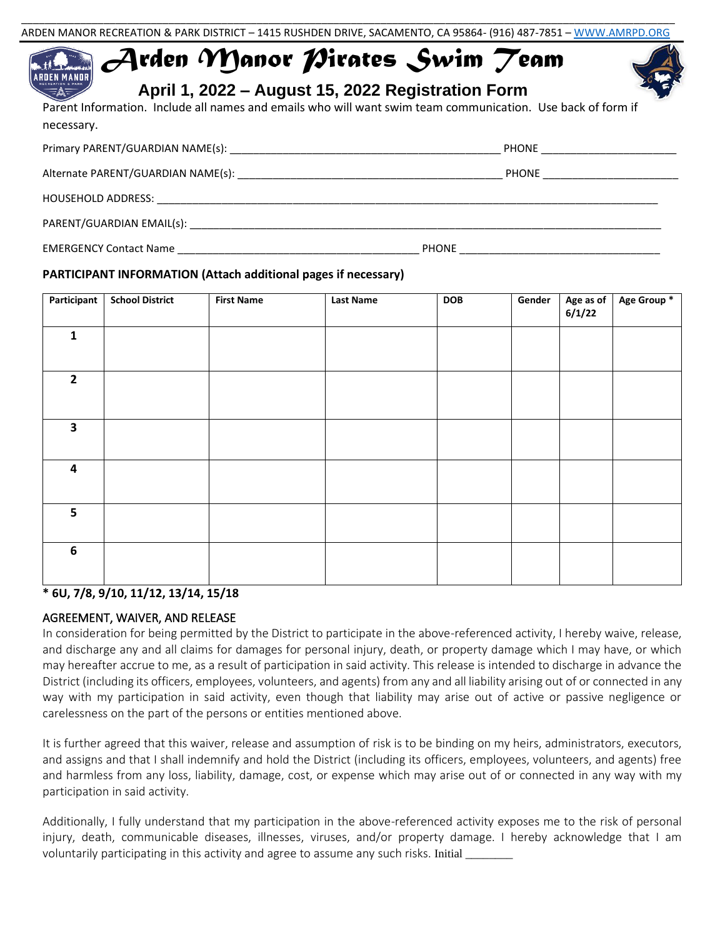# *Arden Manor Pirates Swim Team* ARDEN MANOR



**April 1, 2022 – August 15, 2022 Registration Form**

Parent Information. Include all names and emails who will want swim team communication. Use back of form if necessary.

|                                            | PHONE _______________________ |  |
|--------------------------------------------|-------------------------------|--|
|                                            | PHONE ____________________    |  |
|                                            |                               |  |
|                                            |                               |  |
| EMERGENCY Contact Name <b>Example 2018</b> | PHONE                         |  |

#### **PARTICIPANT INFORMATION (Attach additional pages if necessary)**

| Participant             | <b>School District</b> | <b>First Name</b> | <b>Last Name</b> | <b>DOB</b> | Gender | Age as of $6/1/22$ | Age Group * |
|-------------------------|------------------------|-------------------|------------------|------------|--------|--------------------|-------------|
| $\mathbf{1}$            |                        |                   |                  |            |        |                    |             |
| $\overline{2}$          |                        |                   |                  |            |        |                    |             |
| $\overline{\mathbf{3}}$ |                        |                   |                  |            |        |                    |             |
| 4                       |                        |                   |                  |            |        |                    |             |
| 5                       |                        |                   |                  |            |        |                    |             |
| 6                       |                        |                   |                  |            |        |                    |             |

### **\* 6U, 7/8, 9/10, 11/12, 13/14, 15/18**

### AGREEMENT, WAIVER, AND RELEASE

In consideration for being permitted by the District to participate in the above-referenced activity, I hereby waive, release, and discharge any and all claims for damages for personal injury, death, or property damage which I may have, or which may hereafter accrue to me, as a result of participation in said activity. This release is intended to discharge in advance the District (including its officers, employees, volunteers, and agents) from any and all liability arising out of or connected in any way with my participation in said activity, even though that liability may arise out of active or passive negligence or carelessness on the part of the persons or entities mentioned above.

It is further agreed that this waiver, release and assumption of risk is to be binding on my heirs, administrators, executors, and assigns and that I shall indemnify and hold the District (including its officers, employees, volunteers, and agents) free and harmless from any loss, liability, damage, cost, or expense which may arise out of or connected in any way with my participation in said activity.

Additionally, I fully understand that my participation in the above-referenced activity exposes me to the risk of personal injury, death, communicable diseases, illnesses, viruses, and/or property damage. I hereby acknowledge that I am voluntarily participating in this activity and agree to assume any such risks. Initial